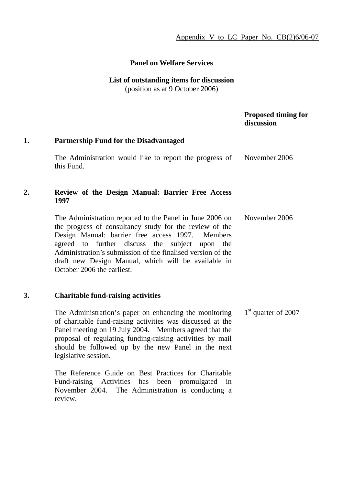# **Panel on Welfare Services**

# **List of outstanding items for discussion**

(position as at 9 October 2006)

# **Proposed timing for discussion**

# **1. Partnership Fund for the Disadvantaged**

The Administration would like to report the progress of this Fund. November 2006

#### **2. Review of the Design Manual: Barrier Free Access 1997**

The Administration reported to the Panel in June 2006 on the progress of consultancy study for the review of the Design Manual: barrier free access 1997. Members agreed to further discuss the subject upon the Administration's submission of the finalised version of the draft new Design Manual, which will be available in October 2006 the earliest. November 2006

# **3. Charitable fund-raising activities**

The Administration's paper on enhancing the monitoring of charitable fund-raising activities was discussed at the Panel meeting on 19 July 2004. Members agreed that the proposal of regulating funding-raising activities by mail should be followed up by the new Panel in the next legislative session. 1<sup>st</sup> quarter of 2007

The Reference Guide on Best Practices for Charitable Fund-raising Activities has been promulgated in November 2004. The Administration is conducting a review.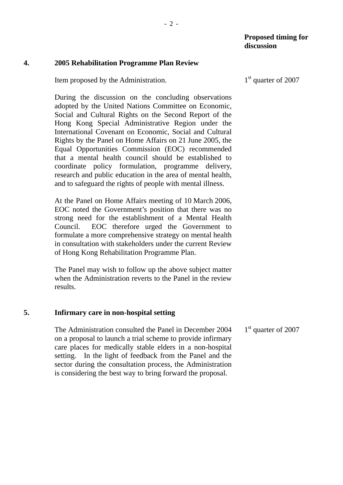# **4. 2005 Rehabilitation Programme Plan Review**

Item proposed by the Administration.

During the discussion on the concluding observations adopted by the United Nations Committee on Economic, Social and Cultural Rights on the Second Report of the Hong Kong Special Administrative Region under the International Covenant on Economic, Social and Cultural Rights by the Panel on Home Affairs on 21 June 2005, the Equal Opportunities Commission (EOC) recommended that a mental health council should be established to coordinate policy formulation, programme delivery, research and public education in the area of mental health, and to safeguard the rights of people with mental illness.

At the Panel on Home Affairs meeting of 10 March 2006, EOC noted the Government's position that there was no strong need for the establishment of a Mental Health Council. EOC therefore urged the Government to formulate a more comprehensive strategy on mental health in consultation with stakeholders under the current Review of Hong Kong Rehabilitation Programme Plan.

The Panel may wish to follow up the above subject matter when the Administration reverts to the Panel in the review results.

# **5. Infirmary care in non-hospital setting**

The Administration consulted the Panel in December 2004 on a proposal to launch a trial scheme to provide infirmary care places for medically stable elders in a non-hospital setting. In the light of feedback from the Panel and the sector during the consultation process, the Administration is considering the best way to bring forward the proposal. 1<sup>st</sup> quarter of 2007

1<sup>st</sup> quarter of 2007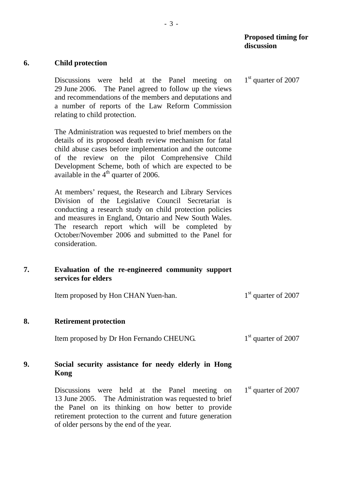#### **Proposed timing for discussion**

1<sup>st</sup> quarter of 2007

#### **6. Child protection**

**Kong** 

Discussions were held at the Panel meeting on 29 June 2006. The Panel agreed to follow up the views and recommendations of the members and deputations and a number of reports of the Law Reform Commission relating to child protection.

The Administration was requested to brief members on the details of its proposed death review mechanism for fatal child abuse cases before implementation and the outcome of the review on the pilot Comprehensive Child Development Scheme, both of which are expected to be available in the  $4<sup>th</sup>$  quarter of 2006.

At members' request, the Research and Library Services Division of the Legislative Council Secretariat is conducting a research study on child protection policies and measures in England, Ontario and New South Wales. The research report which will be completed by October/November 2006 and submitted to the Panel for consideration.

#### **7. Evaluation of the re-engineered community support services for elders**

|    | Item proposed by Hon CHAN Yuen-han.                  | $1st$ quarter of 2007           |
|----|------------------------------------------------------|---------------------------------|
| 8. | <b>Retirement protection</b>                         |                                 |
|    | Item proposed by Dr Hon Fernando CHEUNG.             | 1 <sup>st</sup> quarter of 2007 |
| 9. | Social security assistance for needy elderly in Hong |                                 |

#### Discussions were held at the Panel meeting on 13 June 2005. The Administration was requested to brief the Panel on its thinking on how better to provide retirement protection to the current and future generation of older persons by the end of the year. 1<sup>st</sup> quarter of 2007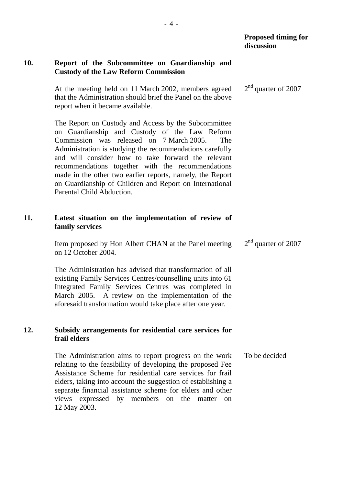### **10. Report of the Subcommittee on Guardianship and Custody of the Law Reform Commission**

At the meeting held on 11 March 2002, members agreed that the Administration should brief the Panel on the above report when it became available. 2<sup>nd</sup> quarter of 2007

The Report on Custody and Access by the Subcommittee on Guardianship and Custody of the Law Reform Commission was released on 7 March 2005. The Administration is studying the recommendations carefully and will consider how to take forward the relevant recommendations together with the recommendations made in the other two earlier reports, namely, the Report on Guardianship of Children and Report on International Parental Child Abduction.

# **11. Latest situation on the implementation of review of family services**

Item proposed by Hon Albert CHAN at the Panel meeting on 12 October 2004. 2<sup>nd</sup> quarter of 2007

The Administration has advised that transformation of all existing Family Services Centres/counselling units into 61 Integrated Family Services Centres was completed in March 2005. A review on the implementation of the aforesaid transformation would take place after one year.

#### **12. Subsidy arrangements for residential care services for frail elders**

The Administration aims to report progress on the work relating to the feasibility of developing the proposed Fee Assistance Scheme for residential care services for frail elders, taking into account the suggestion of establishing a separate financial assistance scheme for elders and other views expressed by members on the matter on 12 May 2003. To be decided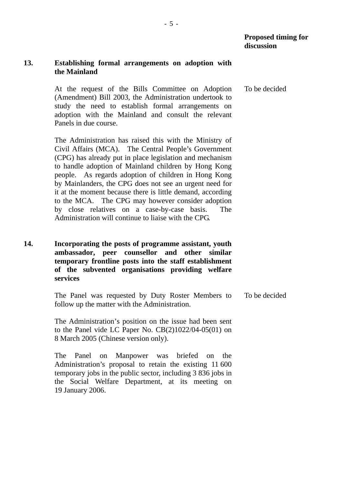#### **13. Establishing formal arrangements on adoption with the Mainland**

At the request of the Bills Committee on Adoption (Amendment) Bill 2003, the Administration undertook to study the need to establish formal arrangements on adoption with the Mainland and consult the relevant Panels in due course. To be decided

The Administration has raised this with the Ministry of Civil Affairs (MCA). The Central People's Government (CPG) has already put in place legislation and mechanism to handle adoption of Mainland children by Hong Kong people. As regards adoption of children in Hong Kong by Mainlanders, the CPG does not see an urgent need for it at the moment because there is little demand, according to the MCA. The CPG may however consider adoption by close relatives on a case-by-case basis. The Administration will continue to liaise with the CPG.

**14. Incorporating the posts of programme assistant, youth ambassador, peer counsellor and other similar temporary frontline posts into the staff establishment of the subvented organisations providing welfare services** 

> The Panel was requested by Duty Roster Members to follow up the matter with the Administration. To be decided

The Administration's position on the issue had been sent to the Panel vide LC Paper No. CB(2)1022/04-05(01) on 8 March 2005 (Chinese version only).

The Panel on Manpower was briefed on the Administration's proposal to retain the existing 11 600 temporary jobs in the public sector, including 3 836 jobs in the Social Welfare Department, at its meeting on 19 January 2006.